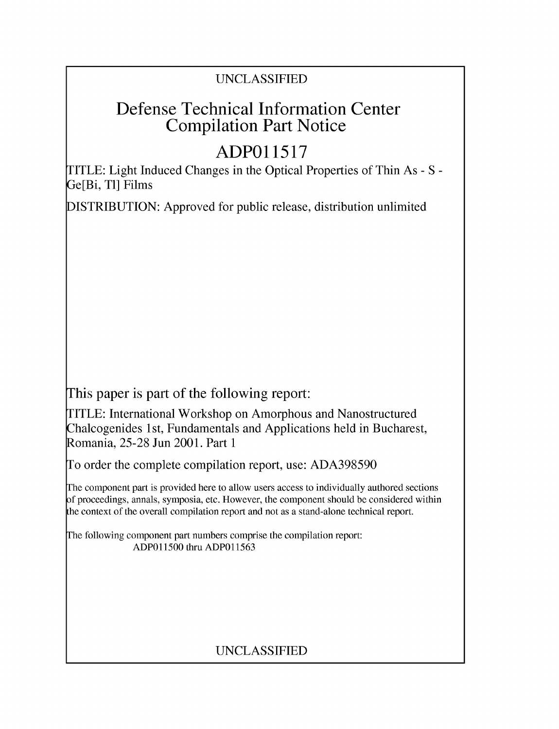## UNCLASSIFIED

## Defense Technical Information Center Compilation Part Notice

# **ADPO 11517**

TITLE: Light Induced Changes in the Optical Properties of Thin As - S - Ge[Bi, TI] Films

DISTRIBUTION: Approved for public release, distribution unlimited

This paper is part of the following report:

TITLE: International Workshop on Amorphous and Nanostructured Chalcogenides 1 st, Fundamentals and Applications held in Bucharest, Romania, 25-28 Jun 2001. Part 1

To order the complete compilation report, use: ADA398590

The component part is provided here to allow users access to individually authored sections f proceedings, annals, symposia, etc. However, the component should be considered within [he context of the overall compilation report and not as a stand-alone technical report.

The following component part numbers comprise the compilation report: ADPO11500 thru ADP011563

## UNCLASSIFIED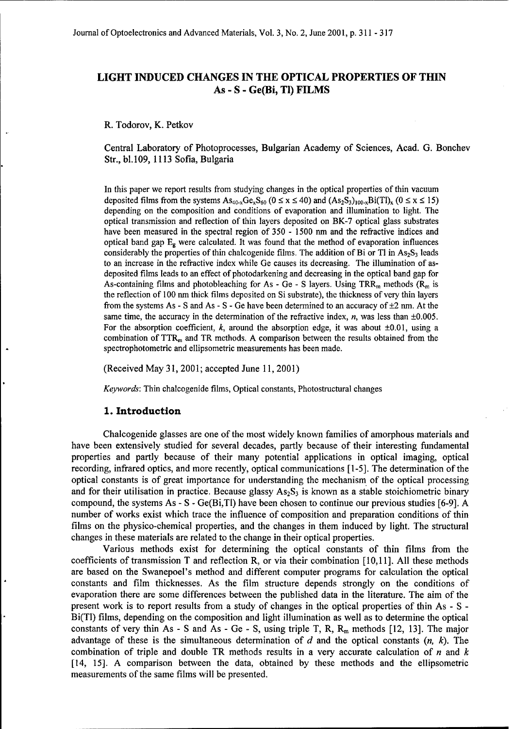### LIGHT **INDUCED CHANGES IN** THE **OPTICAL** PROPERTIES OF THIN As - **S** - Ge(Bi, TI) FILMS

R. Todorov, K. Petkov

Central Laboratory of Photoprocesses, Bulgarian Academy of Sciences, Acad. G. Bonchev Str., bl.109, 1113 Sofia, Bulgaria

In this paper we report results from studying changes in the optical properties of thin vacuum deposited films from the systems  $As_{40-x}Ge_xS_{60}$  ( $0 \le x \le 40$ ) and  $(As_2S_3)_{100-x}Bi(Tl)_x$  ( $0 \le x \le 15$ ) depending on the composition and conditions of evaporation and illumination to light. The optical transmission and reflection of thin layers deposited on BK-7 optical glass substrates have been measured in the spectral region of 350 - 1500 nm and the refractive indices and optical band gap  $E_{\rm g}$  were calculated. It was found that the method of evaporation influences considerably the properties of thin chalcogenide films. The addition of Bi or Tl in  $As_2S_3$  leads to an increase in the refractive index while Ge causes its decreasing. The illumination of asdeposited films leads to an effect of photodarkening and decreasing in the optical band gap for As-containing films and photobleaching for As - Ge - S layers. Using TRR<sub>m</sub> methods ( $R_m$  is the reflection of 100 nm thick films deposited on Si substrate), the thickness of very thin layers from the systems As - S and As - S - Ge have been determined to an accuracy of  $\pm 2$  nm. At the same time, the accuracy in the determination of the refractive index,  $n$ , was less than  $\pm 0.005$ . For the absorption coefficient, k, around the absorption edge, it was about  $\pm 0.01$ , using a combination of  $TTR<sub>m</sub>$  and TR methods. A comparison between the results obtained from the spectrophotometric and ellipsometric measurements has been made.

(Received May 31, 2001; accepted June 11, 2001)

*Keywords:* Thin chalcogenide films, Optical constants, Photostructural changes

#### **1.** Introduction

Chalcogenide glasses are one of the most widely known families of amorphous materials and have been extensively studied for several decades, partly because of their interesting fundamental properties and partly because of their many potential applications in optical imaging, optical recording, infrared optics, and more recently, optical communications [1-5]. The determination of the optical constants is of great importance for understanding the mechanism of the optical processing and for their utilisation in practice. Because glassy  $As_2S_3$  is known as a stable stoichiometric binary compound, the systems As  $- S - Ge(Bi,TI)$  have been chosen to continue our previous studies [6-9]. A number of works exist which trace the influence of composition and preparation conditions of thin films on the physico-chemical properties, and the changes in them induced by light. The structural changes in these materials are related to the change in their optical properties.

Various methods exist for determining the optical constants of thin films from the coefficients of transmission T and reflection R, or via their combination [10,11]. All these methods are based on the Swanepoel's method and different computer programs for calculation the optical constants and film thicknesses. As the film structure depends strongly on the conditions of evaporation there are some differences between the published data in the literature. The aim of the present work is to report results from a study of changes in the optical properties of thin As - S - Bi(TI) films, depending on the composition and light illumination as well as to determine the optical constants of very thin As  $-$  S and As  $-$  Ge  $-$  S, using triple T, R,  $R_m$  methods [12, 13]. The major advantage of these is the simultaneous determination of d and the optical constants *(n, k).* The combination of triple and double TR methods results in a very accurate calculation of  $n$  and  $k$ [14, 15]. A comparison between the data, obtained by these methods and the ellipsometric measurements of the same films will be presented.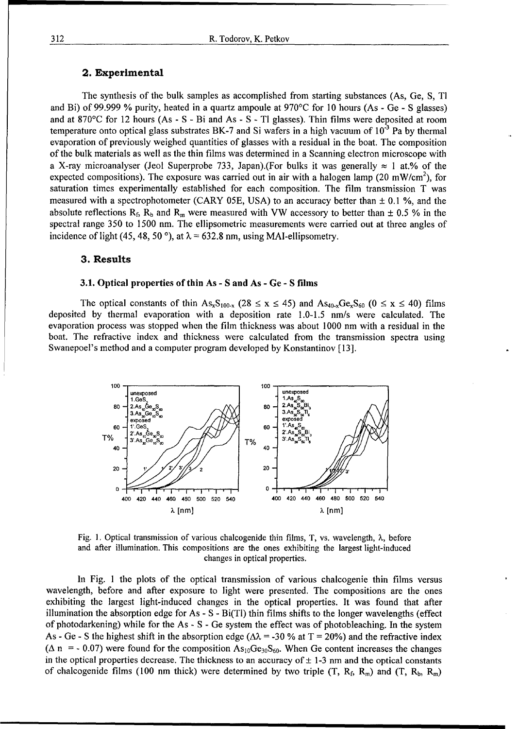#### 2. Experimental

The synthesis of the bulk samples as accomplished from starting substances (As, Ge, **S,** TI and Bi) of 99.999 % purity, heated in a quartz ampoule at 970'C for 10 hours (As - Ge - **S** glasses) and at 870'C for 12 hours (As - S - Bi and As - S - TI glasses). Thin films were deposited at room temperature onto optical glass substrates BK-7 and Si wafers in a high vacuum of **10-3** Pa by thermal evaporation of previously weighed quantities of glasses with a residual in the boat. The composition of the bulk materials as well as the thin films was determined in a Scanning electron microscope with a X-ray microanalyser (Jeol Superprobe 733, Japan).(For bulks it was generally  $\approx$  1 at.% of the expected compositions). The exposure was carried out in air with a halogen lamp (20 mW/cm<sup>2</sup>), for saturation times experimentally established for each composition. The film transmission T was measured with a spectrophotometer (CARY 05E, USA) to an accuracy better than  $\pm$  0.1 %, and the absolute reflections  $R_f$ ,  $R_b$  and  $R_m$  were measured with VW accessory to better than  $\pm$  0.5 % in the spectral range 350 to 1500 nm. The ellipsometric measurements were carried out at three angles of incidence of light (45, 48, 50<sup>o</sup>), at  $\lambda$  = 632.8 nm, using MAI-ellipsometry.

#### **3.** Results

#### **3.1.** Optical properties of thin As - **S** and As - Ge - S films

The optical constants of thin  $As_xS_{100-x}$  (28  $\leq$  x  $\leq$  45) and  $As_{40x}Ge_xS_{60}$  (0  $\leq$  x  $\leq$  40) films deposited by thermal evaporation with a deposition rate 1.0-1.5 nm/s were calculated. The evaporation process was stopped when the film thickness was about 1000 nm with a residual in the boat. The refractive index and thickness were calculated from the transmission spectra using Swanepoel's method and a computer program developed by Konstantinov [13].



Fig. I. Optical transmission of various chalcogenide thin films, T, vs. wavelength, **X,** before and after illumination. This compositions are the ones exhibiting the largest light-induced changes in optical properties.

In Fig. **I** the plots of the optical transmission of various chalcogenie thin films versus wavelength, before and after exposure to light were presented. The compositions are the ones exhibiting the largest light-induced changes in the optical properties. It was found that after illumination the absorption edge for As - S - Bi(TI) thin films shifts to the longer wavelengths (effect of photodarkening) while for the As - S - Ge system the effect was of photobleaching. In the system As - Ge - S the highest shift in the absorption edge ( $\Delta \lambda$  = -30 % at T = 20%) and the refractive index ( $\Delta$  n = - 0.07) were found for the composition As<sub>10</sub>Ge<sub>30</sub>S<sub>60</sub>. When Ge content increases the changes in the optical properties decrease. The thickness to an accuracy of  $\pm$  1-3 nm and the optical constants of chalcogenide films (100 nm thick) were determined by two triple (T,  $R_f$ ,  $R_m$ ) and (T,  $R_b$ ,  $R_m$ )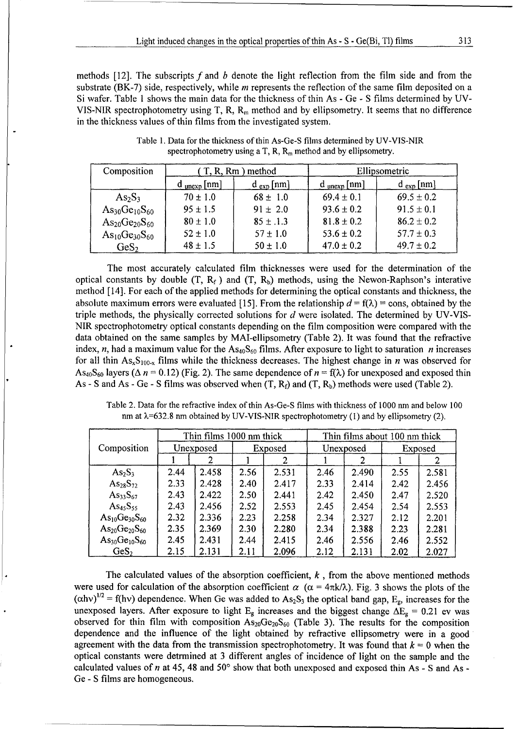methods  $[12]$ . The subscripts f and b denote the light reflection from the film side and from the substrate (BK-7) side, respectively, while *m* represents the reflection of the same film deposited on a Si wafer. Table 1 shows the main data for the thickness of thin As - Ge - S films determined by UV-VIS-NIR spectrophotometry using T, R,  $R_m$  method and by ellipsometry. It seems that no difference in the thickness values of thin films from the investigated system.

| Composition                | (T, R, Rm) method       |               | Ellipsometric           |                |
|----------------------------|-------------------------|---------------|-------------------------|----------------|
|                            | $d_{\text{unexp}}$ [nm] | $d_{exp}[nm]$ | $d_{\text{unexp}}$ [nm] | $d_{exp}[nm]$  |
| $As_2S_3$                  | $70 \pm 1.0$            | $68 \pm 1.0$  | $69.4 \pm 0.1$          | $69.5 \pm 0.2$ |
| $\rm As_{30}Ge_{10}S_{60}$ | $95 \pm 1.5$            | $91 \pm 2.0$  | $93.6 \pm 0.2$          | $91.5 \pm 0.1$ |
| $As_{20}Ge_{20}S_{60}$     | $80 \pm 1.0$            | $85 \pm .1.3$ | $81.8 \pm 0.2$          | $86.2 \pm 0.2$ |
| $As_{10}Ge_{30}S_{60}$     | $52 \pm 1.0$            | $57 \pm 1.0$  | $53.6 \pm 0.2$          | $57.7 \pm 0.3$ |
| GeS <sub>2</sub>           | $48 \pm 1.5$            | $50 \pm 1.0$  | $47.0 \pm 0.2$          | $49.7 \pm 0.2$ |

Table 1. Data for the thickness of thin As-Ge-S films determined by UV-VIS-NIR spectrophotometry using a T, R,  $R_m$  method and by ellipsometry.

The most accurately calculated film thicknesses were used for the determination of the optical constants by double  $(T, R_f)$  and  $(T, R_b)$  methods, using the Newon-Raphson's interative method [ 14]. For each of the applied methods for determining the optical constants and thickness, the absolute maximum errors were evaluated [15]. From the relationship  $d = f(\lambda) = \text{cons}$ , obtained by the triple methods, the physically corrected solutions for  $d$  were isolated. The determined by UV-VIS-NIR spectrophotometry optical constants depending on the film composition were compared with the data obtained on the same samples by MAI-ellipsometry (Table 2). It was found that the refractive index, n, had a maximum value for the  $\text{As}_{40}\text{S}_{60}$  films. After exposure to light to saturation n increases for all thin  $\text{As}_{x}\text{S}_{100-x}$  films while the thickness decreases. The highest change in *n* was observed for As<sub>40</sub>S<sub>60</sub> layers ( $\Delta n = 0.12$ ) (Fig. 2). The same dependence of  $n = f(\lambda)$  for unexposed and exposed thin As - S and As - Ge - S films was observed when  $(T, R_f)$  and  $(T, R_b)$  methods were used (Table 2).

| $\lim$ at $\lambda$ -ob2.8 $\lim$ botamed by UV-VIS-NIK spectrophotometry (1) and by empsometry (2). |                          |                      |      |                               |      |         |      |       |
|------------------------------------------------------------------------------------------------------|--------------------------|----------------------|------|-------------------------------|------|---------|------|-------|
| Composition                                                                                          | Thin films 1000 nm thick |                      |      | Thin films about 100 nm thick |      |         |      |       |
|                                                                                                      |                          | Unexposed<br>Exposed |      | Unexposed                     |      | Exposed |      |       |
|                                                                                                      |                          |                      |      |                               |      |         |      |       |
| $As_2S_3$                                                                                            | 2.44                     | 2.458                | 2.56 | 2.531                         | 2.46 | 2.490   | 2.55 | 2.581 |
| $As_{28}S_{72}$                                                                                      | 2.33                     | 2.428                | 2.40 | 2.417                         | 2.33 | 2.414   | 2.42 | 2.456 |
| $As_{33}S_{67}$                                                                                      | 2.43                     | 2.422                | 2.50 | 2.441                         | 2.42 | 2.450   | 2.47 | 2.520 |
| As <sub>45</sub> S <sub>55</sub>                                                                     | 2.43                     | 2.456                | 2.52 | 2.553                         | 2.45 | 2.454   | 2.54 | 2.553 |
| $As_{10}Ge_{30}S_{60}$                                                                               | 2.32                     | 2.336                | 2.23 | 2.258                         | 2.34 | 2.327   | 2.12 | 2.201 |

 $\text{As}_{20}\text{Ge}_{20}\text{S}_{60}$  | 2.35 | 2.369 | 2.30 | 2.280 | 2.34 | 2.388 | 2.23 | 2.281  $\text{As}_{30}\text{Ge}_{10}\text{S}_{60}$  | 2.45 | 2.431 | 2.44 | 2.415 | 2.46 | 2.556 | 2.46 | 2.552 GeS<sub>2</sub> 2.15 2.131 2.11 2.096 2.12 2.131 2.02 2.027

Table 2. Data for the refractive index of thin As-Ge-S films with thickness of 1000 nm and below 100 nm at ?,=632.8 nm obtained by UV-VIS-NIR spectrophotometry **(1)** and by ellipsometry (2).

The calculated values of the absorption coefficient,  $k$ , from the above mentioned methods were used for calculation of the absorption coefficient  $\alpha$  ( $\alpha = 4\pi k/\lambda$ ). Fig. 3 shows the plots of the  $(\alpha h\nu)^{1/2}$  = f(hv) dependence. When Ge was added to As<sub>2</sub>S<sub>3</sub> the optical band gap, E<sub>g</sub>, increases for the unexposed layers. After exposure to light  $E_g$  increases and the biggest change  $\Delta E_g = 0.21$  ev was observed for thin film with composition  $As_{20}Ge_{20}S_{60}$  (Table 3). The results for the composition dependence and the influence of the light obtained by refractive ellipsometry were in a good agreement with the data from the transmission spectrophotometry. It was found that  $k = 0$  when the optical constants were detrmined at 3 different angles of incidence of light on the sample and the calculated values of n at 45, 48 and **50'** show that both unexposed and exposed thin As - S and As - Ge - S films are homogeneous.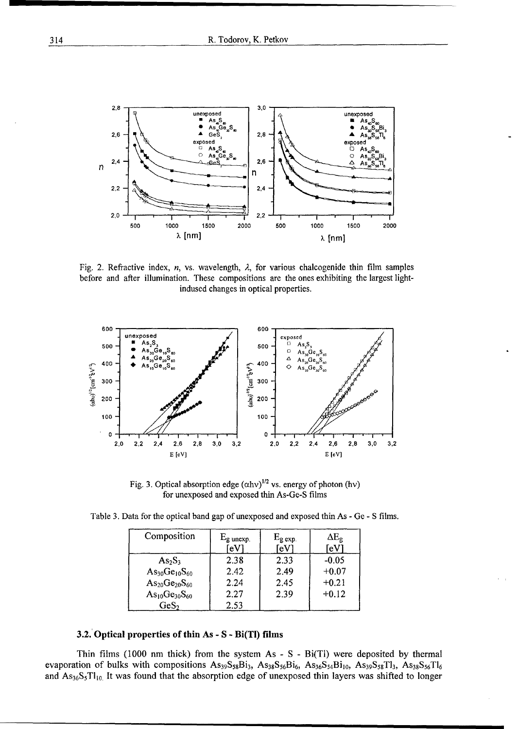

Fig. 2. Refractive index, n, vs. wavelength,  $\lambda$ , for various chalcogenide thin film samples before and after illumination. These compositions are the ones exhibiting the largest lightindused changes in optical properties.



Fig. 3. Optical absorption edge  $(\alpha h v)^{1/2}$  vs. energy of photon (hv) for unexposed and exposed thin As-Ge-S films

| Composition            | $E_{\rm g \, unexp.}$<br>eV | $E_{\rm g}$ exp.<br>⊺eV | $\Delta E_{\text{e}}$<br>$\mathsf{[eV]}$ |
|------------------------|-----------------------------|-------------------------|------------------------------------------|
| $As_2S_3$              | 2.38                        | 2.33                    | $-0.05$                                  |
| $As_{30}Ge_{10}S_{60}$ | 2.42                        | 2.49                    | $+0.07$                                  |
| $As_{20}Ge_{20}S_{60}$ | 2.24                        | 2.45                    | $+0.21$                                  |
| $As_{10}Ge_{30}S_{60}$ | 2.27                        | 2.39                    | $+0.12$                                  |
| $\text{GeS}_2$         | 2.53                        |                         |                                          |

Table 3. Data for the optical band gap of unexposed and exposed thin As - Ge - S films.

#### 3.2. Optical properties of thin As - S - Bi(TI) films

Thin films (1000 nm thick) from the system As - S - Bi(Tl) were deposited by thermal evaporation of bulks with compositions  $As_{39}S_{58}Bi_3$ ,  $As_{38}S_{56}Bi_6$ ,  $As_{36}S_{54}Bi_{10}$ ,  $As_{39}S_{58}Ti_3$ ,  $As_{38}S_{56}Ti_6$ and  $As_{36}S_5Tl_{10}$  It was found that the absorption edge of unexposed thin layers was shifted to longer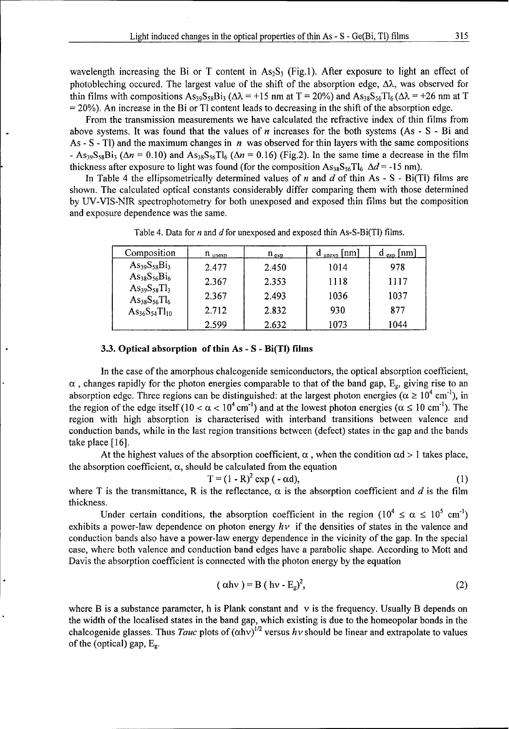wavelength increasing the Bi or T content in  $As_2S_3$  (Fig.1). After exposure to light an effect of photobleching occured. The largest value of the shift of the absorption edge,  $\Delta\lambda$ , was observed for thin films with compositions  $As_{39}S_{58}Bi_3$  ( $\Delta \lambda$  = +15 nm at T = 20%) and  $As_{38}S_{56}Ti_6$  ( $\Delta \lambda$  = +26 nm at T  $= 20\%$ ). An increase in the Bi or Tl content leads to decreasing in the shift of the absorption edge.

From the transmission measurements we have calculated the refractive index of thin films from above systems. It was found that the values of  $n$  increases for the both systems (As - S - Bi and As - S - Tl) and the maximum changes in  $n$  was observed for thin layers with the same compositions  $-$  As<sub>39</sub>S<sub>58</sub>Bi<sub>3</sub> ( $\Delta n$  = 0.10) and As<sub>38</sub>S<sub>56</sub>Tl<sub>6</sub> ( $\Delta n$  = 0.16) (Fig.2). In the same time a decrease in the film thickness after exposure to light was found (for the composition  $\text{As}_{38}\text{S}_{56}\text{T}l_6$   $\Delta d$  = -15 nm).

In Table 4 the ellipsometrically determined values of n and d of thin As -  $S - Bi(T)$  films are shown. The calculated optical constants considerably differ comparing them with those determined by UV-VIS-NIR spectrophotometry for both unexposed and exposed thin films but the composition and exposure dependence was the same.

| Composition                                  | $n_{\text{unexp}}$ | $n_{exp}$ | $d_{\text{unexp}}$ [nm] | $\frac{1}{\exp}$ [nm] |
|----------------------------------------------|--------------------|-----------|-------------------------|-----------------------|
| $As_{39}S_{58}Bi_3$                          | 2.477              | 2.450     | 1014                    | 978                   |
| $As_{38}S_{56}Bi_6$                          | 2.367              | 2.353     | 1118                    | 1117                  |
| $As_{39}S_{58}Tl_3$<br>$As_{38}S_{56}T_{16}$ | 2.367              | 2.493     | 1036                    | 1037                  |
| $\text{As}_{36}\text{S}_{54}\text{T}_{10}$   | 2.712              | 2.832     | 930                     | 877                   |
|                                              | 2.599              | 2.632     | 1073                    | 1044                  |

Table 4. Data for  $n$  and  $d$  for unexposed and exposed thin As-S-Bi(Tl) films.

#### **3.3.** Optical absorption of thin As - S - Bi(TI) films

In the case of the amorphous chalcogenide semiconductors, the optical absorption coefficient,  $\alpha$ , changes rapidly for the photon energies comparable to that of the band gap,  $E_g$ , giving rise to an absorption edge. Three regions can be distinguished: at the largest photon energies ( $\alpha \ge 10^4$  cm<sup>-1</sup>), in the region of the edge itself (10 <  $\alpha$  < 10<sup>4</sup> cm<sup>-1</sup>) and at the lowest photon energies ( $\alpha \le 10$  cm<sup>-1</sup>). The region with high absorption is characterised with interband transitions between valence and conduction bands, while in the last region transitions between (defect) states in the gap and the bands take place [16].

At the highest values of the absorption coefficient,  $\alpha$ , when the condition  $\alpha d > 1$  takes place, the absorption coefficient,  $\alpha$ , should be calculated from the equation

$$
T = (1 - R)^2 \exp(-\alpha d), \qquad (1)
$$

where T is the transmittance, R is the reflectance,  $\alpha$  is the absorption coefficient and d is the film thickness.

Under certain conditions, the absorption coefficient in the region  $(10^4 \le \alpha \le 10^5 \text{ cm}^{-1})$ exhibits a power-law dependence on photon energy  $h\nu$  if the densities of states in the valence and conduction bands also have a power-law energy dependence in the vicinity of the gap. In the special case, where both valence and conduction band edges have a parabolic shape. According to Mott and Davis the absorption coefficient is connected with the photon energy by the equation

$$
(\alpha h v) = B (h v - E_g)^2, \tag{2}
$$

where B is a substance parameter, h is Plank constant and  $\nu$  is the frequency. Usually B depends on the width of the localised states in the band gap, which existing is due to the homeopolar bonds in the chalcogenide glasses. Thus *Tauc* plots of  $(\alpha h\nu)^{1/2}$  versus  $h\nu$  should be linear and extrapolate to values of the (optical) gap,  $E<sub>g</sub>$ .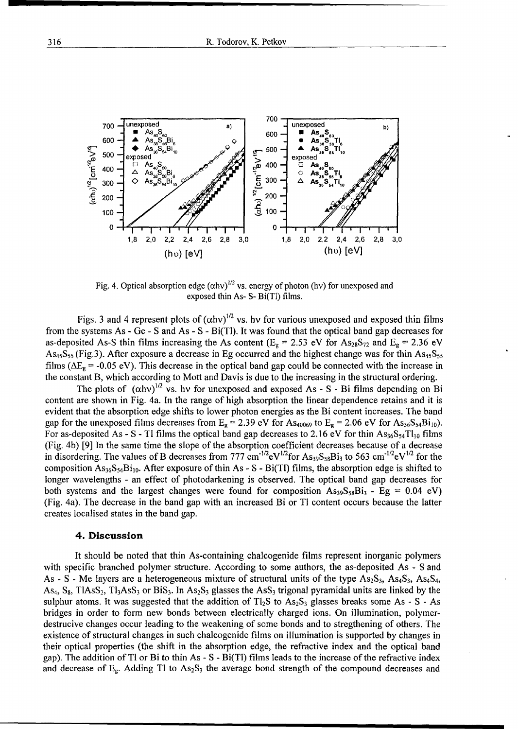

Fig. 4. Optical absorption edge  $( \alpha h v)^{1/2}$  vs. energy of photon (hv) for unexposed and exposed thin As- S- Bi(Tl) films.

Figs. 3 and 4 represent plots of  $(ahv)^{1/2}$  vs. hv for various unexposed and exposed thin films from the systems As  $\text{-}$  Ge - S and As - S - Bi(Tl). It was found that the optical band gap decreases for as-deposited As-S thin films increasing the As content ( $E_g = 2.53$  eV for  $As_{28}S_{72}$  and  $E_g = 2.36$  eV  $As<sub>45</sub>S<sub>55</sub>$  (Fig.3). After exposure a decrease in Eg occurred and the highest change was for thin  $As<sub>45</sub>S<sub>55</sub>$ films ( $\Delta E_g$  = -0.05 eV). This decrease in the optical band gap could be connected with the increase in the constant B, which according to Mott and Davis is due to the increasing in the structural ordering.

The plots of  $(\alpha h v)^{1/2}$  vs. hv for unexposed and exposed As - S - Bi films depending on Bi content are shown in Fig. 4a. In the range of high absorption the linear dependence retains and it is evident that the absorption edge shifts to lower photon energies as the Bi content increases. The band gap for the unexposed films decreases from  $E_g = 2.39$  eV for As<sub>40069</sub> to  $E_g = 2.06$  eV for As<sub>36</sub>S<sub>54</sub>Bi<sub>10</sub>). For as-deposited As - S - Tl films the optical band gap decreases to 2.16 eV for thin  $As_{36}S_{54}T_{110}$  films (Fig. 4b) [9] In the same time the slope of the absorption coefficient decreases because of a decrease in disordering. The values of B decreases from 777 cm<sup>-1/2</sup>eV<sup>1/2</sup>for As<sub>39</sub>S<sub>58</sub>Bi<sub>3</sub> to 563 cm<sup>-1/2</sup>eV<sup>1/2</sup> for the composition  $\text{As}_{36}\text{S}_{54}\text{Bi}_{10}$ . After exposure of thin As - S - Bi(Tl) films, the absorption edge is shifted to longer wavelengths - an effect of photodarkening is observed. The optical band gap decreases for both systems and the largest changes were found for composition  $As_{39}S_{38}Bi_3 - Eg = 0.04$  eV) (Fig. 4a). The decrease in the band gap with an increased Bi or Tl content occurs because the latter creates localised states in the band gap.

#### 4. Discussion

It should be noted that thin As-containing chalcogenide films represent inorganic polymers with specific branched polymer structure. According to some authors, the as-deposited As - S and As - S - Me layers are a heterogeneous mixture of structural units of the type  $As_2S_3$ ,  $As_4S_3$ ,  $As_4S_4$ ,  $As_4, S_8$ , TlAsS<sub>2</sub>, Tl<sub>3</sub>AsS<sub>3</sub> or BiS<sub>3</sub>. In As<sub>2</sub>S<sub>3</sub> glasses the AsS<sub>3</sub> trigonal pyramidal units are linked by the sulphur atoms. It was suggested that the addition of  $Tl_2S$  to  $As_2S_3$  glasses breaks some As - S - As bridges in order to form new bonds between electrically charged ions. On illumination, polymerdestrucive changes occur leading to the weakening of some bonds and to stregthening of others. The existence of structural changes in such chalcogenide films on illumination is supported by changes in their optical properties (the shift in the absorption edge, the refractive index and the optical band gap). The addition of Tl or Bi to thin As - S - Bi(Tl) films leads to the increase of the refractive index and decrease of  $E_g$ . Adding Tl to  $As_2S_3$  the average bond strength of the compound decreases and